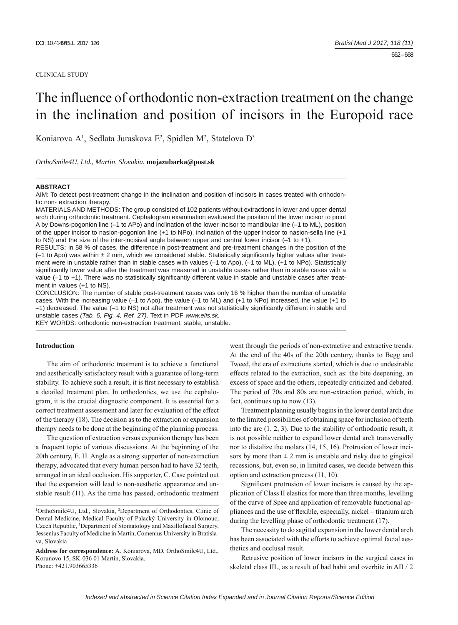#### CLINICAL STUDY

# The influence of orthodontic non-extraction treatment on the change in the inclination and position of incisors in the Europoid race

Koniarova A<sup>1</sup>, Sedlata Juraskova E<sup>2</sup>, Spidlen M<sup>2</sup>, Statelova D<sup>3</sup>

*OrthoSmile4U, Ltd., Martin, Slovakia.* **mojazubarka@post.sk**

#### **ABSTRACT**

AIM: To detect post-treatment change in the inclination and position of incisors in cases treated with orthodontic non- extraction therapy.

MATERIALS AND METHODS: The group consisted of 102 patients without extractions in lower and upper dental arch during orthodontic treatment. Cephalogram examination evaluated the position of the lower incisor to point A by Downs-pogonion line (–1 to APo) and inclination of the lower incisor to mandibular line (–1 to ML), position of the upper incisor to nasion-pogonion line (+1 to NPo), inclination of the upper incisor to nasion-sella line (+1 to NS) and the size of the inter-incisival angle between upper and central lower incisor (–1 to +1).

RESULTS: In 58 % of cases, the difference in post-treatment and pre-treatment changes in the position of the  $(-1)$  to Apo) was within  $\pm 2$  mm, which we considered stable. Statistically significantly higher values after treatment were in unstable rather than in stable cases with values (-1 to Apo), (-1 to ML), (+1 to NPo). Statistically significantly lower value after the treatment was measured in unstable cases rather than in stable cases with a value (-1 to +1). There was no statistically significantly different value in stable and unstable cases after treatment in values (+1 to NS).

CONCLUSION: The number of stable post-treatment cases was only 16 % higher than the number of unstable cases. With the increasing value (–1 to Apo), the value (–1 to ML) and (+1 to NPo) increased, the value (+1 to  $-1$ ) decreased. The value  $(-1$  to NS) not after treatment was not statistically significantly different in stable and unstable cases *(Tab. 6, Fig. 4, Ref. 27)*. Text in PDF *www.elis.sk.*

KEY WORDS: orthodontic non-extraction treatment, stable, unstable.

# **Introduction**

The aim of orthodontic treatment is to achieve a functional and aesthetically satisfactory result with a guarantee of long-term stability. To achieve such a result, it is first necessary to establish a detailed treatment plan. In orthodontics, we use the cephalogram, it is the crucial diagnostic component. It is essential for a correct treatment assessment and later for evaluation of the effect of the therapy (18). The decision as to the extraction or expansion therapy needs to be done at the beginning of the planning process.

The question of extraction versus expansion therapy has been a frequent topic of various discussions. At the beginning of the 20th century, E. H. Angle as a strong supporter of non-extraction therapy, advocated that every human person had to have 32 teeth, arranged in an ideal occlusion. His supporter, C. Case pointed out that the expansion will lead to non-aesthetic appearance and unstable result (11). As the time has passed, orthodontic treatment went through the periods of non-extractive and extractive trends. At the end of the 40s of the 20th century, thanks to Begg and Tweed, the era of extractions started, which is due to undesirable effects related to the extraction, such as: the bite deepening, an excess of space and the others, repeatedly criticized and debated. The period of 70s and 80s are non-extraction period, which, in fact, continues up to now (13).

Treatment planning usually begins in the lower dental arch due to the limited possibilities of obtaining space for inclusion of teeth into the arc (1, 2, 3). Due to the stability of orthodontic result, it is not possible neither to expand lower dental arch transversally nor to distalize the molars (14, 15, 16). Protrusion of lower incisors by more than  $\pm 2$  mm is unstable and risky due to gingival recessions, but, even so, in limited cases, we decide between this option and extraction process (11, 10).

Significant protrusion of lower incisors is caused by the application of Class II elastics for more than three months, levelling of the curve of Spee and application of removable functional appliances and the use of flexible, especially, nickel – titanium arch during the levelling phase of orthodontic treatment (17).

The necessity to do sagittal expansion in the lower dental arch has been associated with the efforts to achieve optimal facial aesthetics and occlusal result.

Retrusive position of lower incisors in the surgical cases in skeletal class III., as a result of bad habit and overbite in AII / 2

<sup>1</sup> OrthoSmile4U, Ltd., Slovakia, 2 Department of Orthodontics, Clinic of Dental Medicine, Medical Faculty of Palacký University in Olomouc, Czech Republic, <sup>3</sup>Department of Stomatology and Maxillofacial Surgery, Jessenius Faculty of Medicine in Martin, Comenius University in Bratislava, Slovakia

**Address for correspondence:** A. Koniarova, MD, OrthoSmile4U, Ltd., Korunovo 15, SK-036 01 Martin, Slovakia. Phone: +421.903665336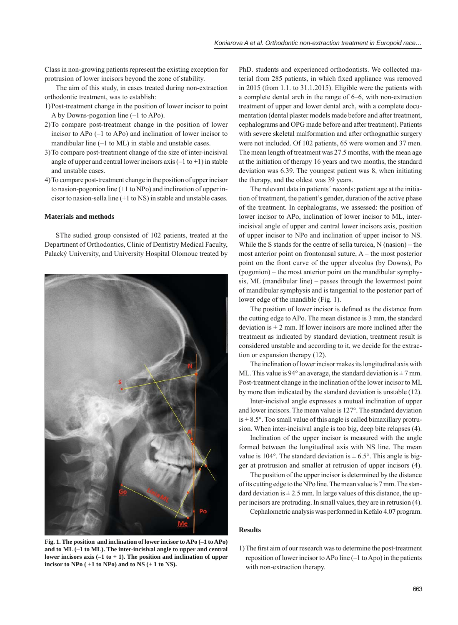Class in non-growing patients represent the existing exception for protrusion of lower incisors beyond the zone of stability.

The aim of this study, in cases treated during non-extraction orthodontic treatment, was to establish:

- 1) Post-treatment change in the position of lower incisor to point A by Downs-pogonion line (–1 to APo).
- 2) To compare post-treatment change in the position of lower incisor to APo (–1 to APo) and inclination of lower incisor to mandibular line (–1 to ML) in stable and unstable cases.
- 3) To compare post-treatment change of the size of inter-incisival angle of upper and central lower incisors axis  $(-1 \text{ to } +1)$  in stable and unstable cases.
- 4) To compare post-treatment change in the position of upper incisor to nasion-pogonion line (+1 to NPo) and inclination of upper incisor to nasion-sella line (+1 to NS) in stable and unstable cases.

### **Materials and methods**

SThe sudied group consisted of 102 patients, treated at the Department of Orthodontics, Clinic of Dentistry Medical Faculty, Palacký University, and University Hospital Olomouc treated by



**Fig. 1. The position and inclination of lower incisor to APo (–1 to APo) and to ML (–1 to ML). The inter-incisival angle to upper and central lower incisors axis (–1 to + 1). The position and inclination of upper incisor to NPo ( +1 to NPo) and to NS (+ 1 to NS).**

PhD. students and experienced orthodontists. We collected material from 285 patients, in which fixed appliance was removed in 2015 (from 1.1. to 31.1.2015). Eligible were the patients with a complete dental arch in the range of 6–6, with non-extraction treatment of upper and lower dental arch, with a complete documentation (dental plaster models made before and after treatment, cephalograms and OPG made before and after treatment). Patients with severe skeletal malformation and after orthognathic surgery were not included. Of 102 patients, 65 were women and 37 men. The mean length of treatment was 27.5 months, with the mean age at the initiation of therapy 16 years and two months, the standard deviation was 6.39. The youngest patient was 8, when initiating the therapy, and the oldest was 39 years.

The relevant data in patients´ records: patient age at the initiation of treatment, the patient's gender, duration of the active phase of the treatment. In cephalograms, we assessed: the position of lower incisor to APo, inclination of lower incisor to ML, interincisival angle of upper and central lower incisors axis, position of upper incisor to NPo and inclination of upper incisor to NS. While the S stands for the centre of sella turcica, N (nasion) – the most anterior point on frontonasal suture, A – the most posterior point on the front curve of the upper alveolus (by Downs), Po (pogonion) – the most anterior point on the mandibular symphysis, ML (mandibular line) – passes through the lowermost point of mandibular symphysis and is tangential to the posterior part of lower edge of the mandible (Fig. 1).

The position of lower incisor is defined as the distance from the cutting edge to APo. The mean distance is 3 mm, the standard deviation is  $\pm 2$  mm. If lower incisors are more inclined after the treatment as indicated by standard deviation, treatment result is considered unstable and according to it, we decide for the extraction or expansion therapy (12).

The inclination of lower incisor makes its longitudinal axis with ML. This value is 94 $\degree$  an average, the standard deviation is  $\pm$  7 mm. Post-treatment change in the inclination of the lower incisor to ML by more than indicated by the standard deviation is unstable (12).

Inter-incisival angle expresses a mutual inclination of upper and lower incisors. The mean value is 127°. The standard deviation  $is \pm 8.5^{\circ}$ . Too small value of this angle is called bimaxillary protrusion. When inter-incisival angle is too big, deep bite relapses (4).

Inclination of the upper incisor is measured with the angle formed between the longitudinal axis with NS line. The mean value is 104°. The standard deviation is  $\pm$  6.5°. This angle is bigger at protrusion and smaller at retrusion of upper incisors (4).

The position of the upper incisor is determined by the distance of its cutting edge to the NPo line. The mean value is 7 mm. The standard deviation is  $\pm 2.5$  mm. In large values of this distance, the upper incisors are protruding. In small values, they are in retrusion (4).

Cephalometric analysis was performed in Kefalo 4.07 program.

#### **Results**

1) The first aim of our research was to determine the post-treatment reposition of lower incisor to APo line (–1 to Apo) in the patients with non-extraction therapy.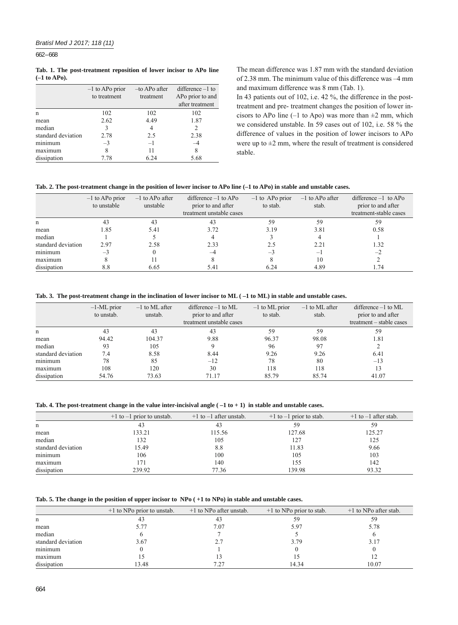662 – 668

#### **Tab. 1. The post-treatment reposition of lower incisor to APo line (–1 to APo).**

|                    | $-1$ to APo prior<br>to treatment | -to APo after<br>treatment | $difference -1$ to<br>AP <sub>o</sub> prior to and |
|--------------------|-----------------------------------|----------------------------|----------------------------------------------------|
|                    |                                   |                            | after treatment                                    |
| n                  | 102                               | 102                        | 102                                                |
| mean               | 2.62                              | 4.49                       | 1.87                                               |
| median             | 3                                 | 4                          | 2                                                  |
| standard deviation | 2.78                              | 2.5                        | 2.38                                               |
| minimum            | $-3$                              | $-1$                       |                                                    |
| maximum            | 8                                 | 11                         | 8                                                  |
| dissipation        | 7.78                              | 6.24                       | 5.68                                               |

 The mean difference was 1.87 mm with the standard deviation of 2.38 mm. The minimum value of this difference was –4 mm and maximum difference was 8 mm (Tab. 1).

 In 43 patients out of 102, i.e. 42 %, the difference in the posttreatment and pre- treatment changes the position of lower incisors to APo line (–1 to Apo) was more than  $\pm 2$  mm, which we considered unstable. In 59 cases out of 102, i.e. 58 % the difference of values in the position of lower incisors to APo were up to  $\pm 2$  mm, where the result of treatment is considered stable.

# **Tab. 2. The post-treatment change in the position of lower incisor to APo line (–1 to APo) in stable and unstable cases.**

|                    | $-1$ to APo prior<br>to unstable | $-1$ to APo after<br>unstable | difference $-1$ to APo<br>prior to and after | $-1$ to AP <sub>o</sub> prior<br>to stab. | $-1$ to APo after<br>stab. | $difference -1$ to APo<br>prior to and after |
|--------------------|----------------------------------|-------------------------------|----------------------------------------------|-------------------------------------------|----------------------------|----------------------------------------------|
|                    |                                  |                               | treatment unstable cases                     |                                           |                            | treatment-stable cases                       |
| n                  | 43                               | 43                            | 43                                           | 59                                        | 59                         | 59                                           |
| mean               | 1.85                             | 5.41                          | 3.72                                         | 3.19                                      | 3.81                       | 0.58                                         |
| median             |                                  |                               |                                              |                                           |                            |                                              |
| standard deviation | 2.97                             | 2.58                          | 2.33                                         | 2.5                                       | 2.21                       | 1.32                                         |
| minimum            | $-3$                             |                               | -4                                           | — 1                                       | $-\mathbf{I}$              | $-2$                                         |
| maximum            |                                  |                               |                                              |                                           | 10                         |                                              |
| dissipation        | 8.8                              | 6.65                          | 5.41                                         | 6.24                                      | 4.89                       | 1.74                                         |

# **Tab. 3. The post-treatment change in the inclination of lower incisor to ML ( –1 to ML) in stable and unstable cases.**

|                    | $-1$ -ML prior<br>to unstab. | $-1$ to ML after<br>unstab. | $difference -1$ to ML<br>prior to and after<br>treatment unstable cases | $-1$ to ML prior<br>to stab. | $-1$ to ML after<br>stab. | $difference -1$ to ML<br>prior to and after<br>treatment – stable cases |
|--------------------|------------------------------|-----------------------------|-------------------------------------------------------------------------|------------------------------|---------------------------|-------------------------------------------------------------------------|
| n                  | 43                           | 43                          | 43                                                                      | 59                           | 59                        | 59                                                                      |
| mean               | 94.42                        | 104.37                      | 9.88                                                                    | 96.37                        | 98.08                     | 1.81                                                                    |
| median             | 93                           | 105                         |                                                                         | 96                           | 97                        |                                                                         |
| standard deviation | 7.4                          | 8.58                        | 8.44                                                                    | 9.26                         | 9.26                      | 6.41                                                                    |
| minimum            | 78                           | 85                          | $-12$                                                                   | 78                           | 80                        | $-13$                                                                   |
| maximum            | 108                          | 120                         | 30                                                                      | 118                          | 118                       | 13                                                                      |
| dissipation        | 54.76                        | 73.63                       | 71.17                                                                   | 85.79                        | 85.74                     | 41.07                                                                   |

**Tab. 4. The post-treatment change in the value inter-incisival angle ( –1 to + 1) in stable and unstable cases.**

|                    | $+1$ to $-1$ prior to unstab. | $+1$ to $-1$ after unstab. | $+1$ to $-1$ prior to stab. | $+1$ to $-1$ after stab. |
|--------------------|-------------------------------|----------------------------|-----------------------------|--------------------------|
| n                  | 43                            | 43                         | 59                          | 59                       |
| mean               | 133.21                        | 115.56                     | 127.68                      | 125.27                   |
| median             | 132                           | 105                        | 127                         | 125                      |
| standard deviation | 15.49                         | 8.8                        | 11.83                       | 9.66                     |
| minimum            | 106                           | 100                        | 105                         | 103                      |
| maximum            | 171                           | 140                        | 155                         | 142                      |
| dissipation        | 239.92                        | 77.36                      | 139.98                      | 93.32                    |

**Tab. 5. The change in the position of upper incisor to NPo ( +1 to NPo) in stable and unstable cases.**

|                    | $+1$ to NPo prior to unstab. | $+1$ to NPo after unstab. | $+1$ to NPo prior to stab. | $+1$ to NPo after stab. |
|--------------------|------------------------------|---------------------------|----------------------------|-------------------------|
| n                  | 43                           | 43                        | 59                         |                         |
| mean               | 5.77                         | 7.07                      | 5.97                       | 5.78                    |
| median             |                              |                           |                            |                         |
| standard deviation | 3.67                         | 2.7                       | 3.79                       | 3.17                    |
| minimum            |                              |                           |                            |                         |
| maximum            |                              | 13                        |                            |                         |
| dissipation        | 13.48                        | 7.27                      | 14.34                      | 10.07                   |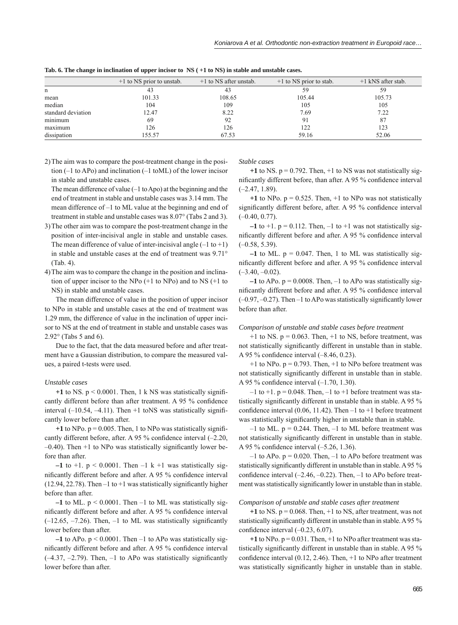|                    | $+1$ to NS prior to unstab. | $+1$ to NS after unstab. | $+1$ to NS prior to stab. | $+1$ kNS after stab. |
|--------------------|-----------------------------|--------------------------|---------------------------|----------------------|
| n                  | 43                          | 43                       | 59                        | 59                   |
| mean               | 101.33                      | 108.65                   | 105.44                    | 105.73               |
| median             | 104                         | 109                      | 105                       | 105                  |
| standard deviation | 12.47                       | 8.22                     | 7.69                      | 7.22                 |
| minimum            | 69                          | 92                       | 91                        | 87                   |
| maximum            | 126                         | 126                      | 122                       | 123                  |
| dissipation        | 155.57                      | 67.53                    | 59.16                     | 52.06                |

**Tab. 6. The change in inclination of upper incisor to NS ( +1 to NS) in stable and unstable cases.**

2) The aim was to compare the post-treatment change in the position (–1 to APo) and inclination (–1 toML) of the lower incisor in stable and unstable cases.

The mean difference of value  $(-1 \text{ to Apo})$  at the beginning and the end of treatment in stable and unstable cases was 3.14 mm. The mean difference of –1 to ML value at the beginning and end of treatment in stable and unstable cases was 8.07° (Tabs 2 and 3).

- 3) The other aim was to compare the post-treatment change in the position of inter-incisival angle in stable and unstable cases. The mean difference of value of inter-incisival angle  $(-1 \text{ to } +1)$ in stable and unstable cases at the end of treatment was 9.71° (Tab. 4).
- 4) The aim was to compare the change in the position and inclination of upper incisor to the NPo (+1 to NPo) and to NS (+1 to NS) in stable and unstable cases.

The mean difference of value in the position of upper incisor to NPo in stable and unstable cases at the end of treatment was 1.29 mm, the difference of value in the inclination of upper incisor to NS at the end of treatment in stable and unstable cases was 2.92° (Tabs 5 and 6).

Due to the fact, that the data measured before and after treatment have a Gaussian distribution, to compare the measured values, a paired t-tests were used.

#### *Unstable cases*

 $+1$  to NS.  $p < 0.0001$ . Then, 1 k NS was statistically significantly different before than after treatment. A 95 % confidence interval  $(-10.54, -4.11)$ . Then  $+1$  to NS was statistically significantly lower before than after.

 $+1$  to NPo.  $p = 0.005$ . Then, 1 to NPo was statistically significantly different before, after. A 95 % confidence interval  $(-2.20,$  $-0.40$ ). Then  $+1$  to NPo was statistically significantly lower before than after.

 $-1$  to  $+1$ .  $p < 0.0001$ . Then  $-1$  k  $+1$  was statistically significantly different before and after. A 95 % confidence interval (12.94, 22.78). Then  $-1$  to  $+1$  was statistically significantly higher before than after.

 $-1$  to ML.  $p \le 0.0001$ . Then  $-1$  to ML was statistically significantly different before and after. A 95 % confidence interval  $(-12.65, -7.26)$ . Then,  $-1$  to ML was statistically significantly lower before than after.

**–1** to APo. p < 0.0001. Then –1 to APo was statistically significantly different before and after. A 95 % confidence interval  $(-4.37, -2.79)$ . Then,  $-1$  to APo was statistically significantly lower before than after.

*Stable cases*

 $+1$  to NS,  $p = 0.792$ . Then,  $+1$  to NS was not statistically significantly different before, than after. A 95 % confidence interval (–2.47, 1.89).

 $+1$  to NPo.  $p = 0.525$ . Then,  $+1$  to NPo was not statistically significantly different before, after. A 95 % confidence interval  $(-0.40, 0.77)$ .

 $-1$  to  $+1$ .  $p = 0.112$ . Then,  $-1$  to  $+1$  was not statistically significantly different before and after. A 95 % confidence interval  $(-0.58, 5.39)$ .

 $-1$  to ML,  $p = 0.047$ . Then, 1 to ML was statistically significantly different before and after. A 95 % confidence interval  $(-3.40, -0.02)$ .

 $-1$  to APo.  $p = 0.0008$ . Then,  $-1$  to APo was statistically significantly different before and after. A 95 % confidence interval  $(-0.97, -0.27)$ . Then  $-1$  to APo was statistically significantly lower before than after.

# *Comparison of unstable and stable cases before treatment*

 $+1$  to NS.  $p = 0.063$ . Then,  $+1$  to NS, before treatment, was not statistically significantly different in unstable than in stable. A 95 % confidence interval  $(-8.46, 0.23)$ .

 $+1$  to NPo.  $p = 0.793$ . Then,  $+1$  to NPo before treatment was not statistically significantly different in unstable than in stable. A 95 % confidence interval  $(-1.70, 1.30)$ .

 $-1$  to  $+1$ . p = 0.048. Then,  $-1$  to  $+1$  before treatment was statistically significantly different in unstable than in stable. A 95 % confidence interval  $(0.06, 11.42)$ . Then  $-1$  to  $+1$  before treatment was statistically significantly higher in unstable than in stable.

 $-1$  to ML.  $p = 0.244$ . Then,  $-1$  to ML before treatment was not statistically significantly different in unstable than in stable. A 95 % confidence interval  $(-5.26, 1.36)$ .

 $-1$  to APo.  $p = 0.020$ . Then,  $-1$  to APo before treatment was statistically significantly different in unstable than in stable. A 95 % confidence interval  $(-2.46, -0.22)$ . Then,  $-1$  to APo before treatment was statistically significantly lower in unstable than in stable.

#### *Comparison of unstable and stable cases after treatment*

 $+1$  to NS.  $p = 0.068$ . Then,  $+1$  to NS, after treatment, was not statistically significantly different in unstable than in stable. A 95  $\%$ confidence interval  $(-0.23, 6.07)$ .

 $+1$  to NPo.  $p = 0.031$ . Then,  $+1$  to NPo after treatment was statistically significantly different in unstable than in stable. A 95 % confidence interval  $(0.12, 2.46)$ . Then,  $+1$  to NPo after treatment was statistically significantly higher in unstable than in stable.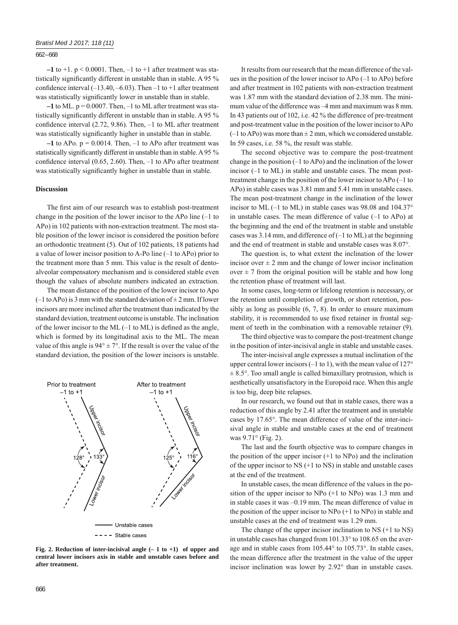#### 662 – 668

 $-1$  to  $+1$ .  $p < 0.0001$ . Then,  $-1$  to  $+1$  after treatment was statistically significantly different in unstable than in stable. A 95 % confidence interval  $(-13.40, -6.03)$ . Then  $-1$  to  $+1$  after treatment was statistically significantly lower in unstable than in stable.

 $-1$  to ML,  $p = 0.0007$ . Then,  $-1$  to ML after treatment was statistically significantly different in unstable than in stable. A 95 % confidence interval  $(2.72, 9.86)$ . Then,  $-1$  to ML after treatment was statistically significantly higher in unstable than in stable.

 $-1$  to APo.  $p = 0.0014$ . Then,  $-1$  to APo after treatment was statistically significantly different in unstable than in stable. A 95 % confidence interval  $(0.65, 2.60)$ . Then,  $-1$  to APo after treatment was statistically significantly higher in unstable than in stable.

#### **Discussion**

The first aim of our research was to establish post-treatment change in the position of the lower incisor to the APo line (–1 to APo) in 102 patients with non-extraction treatment. The most stable position of the lower incisor is considered the position before an orthodontic treatment (5). Out of 102 patients, 18 patients had a value of lower incisor position to A-Po line (–1 to APo) prior to the treatment more than 5 mm. This value is the result of dentoalveolar compensatory mechanism and is considered stable even though the values of absolute numbers indicated an extraction.

The mean distance of the position of the lower incisor to Apo  $(-1$  to APo) is 3 mm with the standard deviation of  $\pm$  2 mm. If lower incisors are more inclined after the treatment than indicated by the standard deviation, treatment outcome is unstable. The inclination of the lower incisor to the ML  $(-1)$  to ML) is defined as the angle, which is formed by its longitudinal axis to the ML. The mean value of this angle is  $94^{\circ} \pm 7^{\circ}$ . If the result is over the value of the standard deviation, the position of the lower incisors is unstable.



**Fig. 2. Reduction of inter-incisival angle (– 1 to +1) of upper and central lower incisors axis in stable and unstable cases before and after treatment.**

It results from our research that the mean difference of the values in the position of the lower incisor to APo (–1 to APo) before and after treatment in 102 patients with non-extraction treatment was 1.87 mm with the standard deviation of 2.38 mm. The minimum value of the difference was –4 mm and maximum was 8 mm. In 43 patients out of 102, i.e. 42 % the difference of pre-treatment and post-treatment value in the position of the lower incisor to APo  $(-1$  to APo) was more than  $\pm 2$  mm, which we considered unstable. In 59 cases, i.e. 58 %, the result was stable.

The second objective was to compare the post-treatment change in the position (–1 to APo) and the inclination of the lower incisor (–1 to ML) in stable and unstable cases. The mean posttreatment change in the position of the lower incisor to APo (–1 to APo) in stable cases was 3.81 mm and 5.41 mm in unstable cases. The mean post-treatment change in the inclination of the lower incisor to ML (–1 to ML) in stable cases was 98.08 and 104.37° in unstable cases. The mean difference of value (–1 to APo) at the beginning and the end of the treatment in stable and unstable cases was  $3.14$  mm, and difference of  $(-1 \text{ to ML})$  at the beginning and the end of treatment in stable and unstable cases was 8.07°.

The question is, to what extent the inclination of the lower incisor over  $\pm 2$  mm and the change of lower incisor inclination over  $\pm$  7 from the original position will be stable and how long the retention phase of treatment will last.

In some cases, long-term or lifelong retention is necessary, or the retention until completion of growth, or short retention, possibly as long as possible (6, 7, 8). In order to ensure maximum stability, it is recommended to use fixed retainer in frontal segment of teeth in the combination with a removable retainer (9).

The third objective was to compare the post-treatment change in the position of inter-incisival angle in stable and unstable cases.

The inter-incisival angle expresses a mutual inclination of the upper central lower incisors  $(-1 \text{ to } 1)$ , with the mean value of  $127^{\circ}$  $\pm$  8.5°. Too small angle is called bimaxillary protrusion, which is aesthetically unsatisfactory in the Europoid race. When this angle is too big, deep bite relapses.

In our research, we found out that in stable cases, there was a reduction of this angle by 2.41 after the treatment and in unstable cases by 17.65°. The mean difference of value of the inter-incisival angle in stable and unstable cases at the end of treatment was 9.71° (Fig. 2).

The last and the fourth objective was to compare changes in the position of the upper incisor  $(+1 \text{ to } NP<sub>0</sub>)$  and the inclination of the upper incisor to NS (+1 to NS) in stable and unstable cases at the end of the treatment.

In unstable cases, the mean difference of the values in the position of the upper incisor to NPo (+1 to NPo) was 1.3 mm and in stable cases it was –0.19 mm. The mean difference of value in the position of the upper incisor to  $NPo (+1 to NPo)$  in stable and unstable cases at the end of treatment was 1.29 mm.

The change of the upper incisor inclination to NS (+1 to NS) in unstable cases has changed from 101.33° to 108.65 on the average and in stable cases from 105.44° to 105.73°. In stable cases, the mean difference after the treatment in the value of the upper incisor inclination was lower by 2.92° than in unstable cases.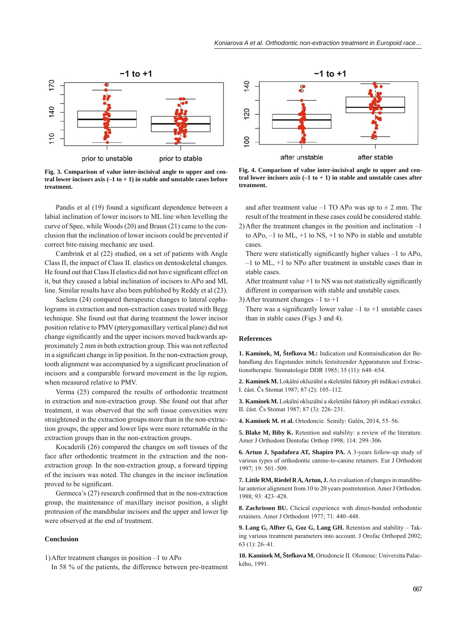

**Fig. 3. Comparison of value inter-incisival angle to upper and central lower incisors axis (–1 to + 1) in stable and unstable cases before treatment.**

Pandis et al (19) found a significant dependence between a labial inclination of lower incisors to ML line when levelling the curve of Spee, while Woods (20) and Braun (21) came to the conclusion that the inclination of lower incisors could be prevented if correct bite-raising mechanic are used.

Cambrink et al (22) studied, on a set of patients with Angle Class II, the impact of Class II. elastics on dentoskeletal changes. He found out that Class II elastics did not have significant effect on it, but they caused a labial inclination of incisors to APo and ML line. Similar results have also been published by Reddy et al (23).

Saelens (24) compared therapeutic changes to lateral cephalograms in extraction and non-extraction cases treated with Begg technique. She found out that during treatment the lower incisor position relative to PMV (pterygomaxillary vertical plane) did not change significantly and the upper incisors moved backwards approximately 2 mm in both extraction group. This was not reflected in a significant change in lip position. In the non-extraction group, tooth alignment was accompanied by a significant proclination of incisors and a comparable forward movement in the lip region, when measured relative to PMV.

Verma (25) compared the results of orthodontic treatment in extraction and non-extraction group. She found out that after treatment, it was observed that the soft tissue convexities were straightened in the extraction groups more than in the non-extraction groups, the upper and lower lips were more returnable in the extraction groups than in the non-extraction groups.

Kocaderili (26) compared the changes on soft tissues of the face after orthodontic treatment in the extraction and the nonextraction group. In the non-extraction group, a forward tipping of the incisors was noted. The changes in the incisor inclination proved to be significant.

Germeca's  $(27)$  research confirmed that in the non-extraction group, the maintenance of maxillary incisor position, a slight protrusion of the mandibular incisors and the upper and lower lip were observed at the end of treatment.

# **Conclusion**

1) After treatment changes in position –1 to APo

In 58 % of the patients, the difference between pre-treatment



**Fig. 4. Comparison of value inter-incisival angle to upper and central lower incisors axis (–1 to + 1) in stable and unstable cases after treatment.**

and after treatment value –1 TO APo was up to  $\pm$  2 mm. The result of the treatment in these cases could be considered stable.

2) After the treatment changes in the position and inclination –1 to  $APo$ ,  $-1$  to  $ML$ ,  $+1$  to  $NS$ ,  $+1$  to  $NPo$  in stable and unstable cases.

There were statistically significantly higher values  $-1$  to APo, –1 to ML, +1 to NPo after treatment in unstable cases than in stable cases.

After treatment value  $+1$  to NS was not statistically significantly different in comparison with stable and unstable cases.

3) After treatment changes  $-1$  to  $+1$ 

There was a significantly lower value  $-1$  to  $+1$  unstable cases than in stable cases (Figs 3 and 4).

#### **References**

**1. Kamínek, M, Štefkova M.:** Indication und Kontraindication der Behandlung des Engstandes mittels festsitzender Apparaturen und Extractionstherapie. Stomatologie DDR 1985; 35 (11): 648–654.

**2. Kamínek M.** Lokální okluzální a skeletální faktory při indikaci extrakcí. I. část. Čs Stomat 1987; 87 (2): 105–112.

**3. Kamínek M.** Lokální okluzální a skeletální faktory při indikaci extrakcí. II. část. Čs Stomat 1987; 87 (3): 226–231.

**4. Kamínek M. et al.** Ortodoncie. Semily: Galén, 2014, 55–56.

**5. Blake M, Biby K.** Retention and stability: a review of the literature. Amer J Orthodont Dentofac Orthop 1998; 114: 299–306.

**6. Artun J, Spadafora AT, Shapiro PA.** A 3-years follow-up study of various types of orthodontic canine-to-canine retainers. Eur J Orthodont 1997; 19: 501–509.

**7. Little RM, Riedel R A, Artun, J.** An evaluation of changes in mandibular anterior alignment from 10 to 20 years postretention. Amer J Orthodon. 1988; 93: 423–428.

**8. Zachrisson BU.** Clicical experience with direct-bonded orthodontic retainers. Amer J Orthodont 1977; 71: 440–448.

**9. Lang G, Alfter G, Goz G, Lang GH.** Retention and stability – Taking various treatment parameters into account. J Orofac Orthoped 2002; 63 (1): 26–41.

**10. Kamínek M, Štefkova M.** Ortodoncie II. Olomouc: Univerzita Palackého, 1991.